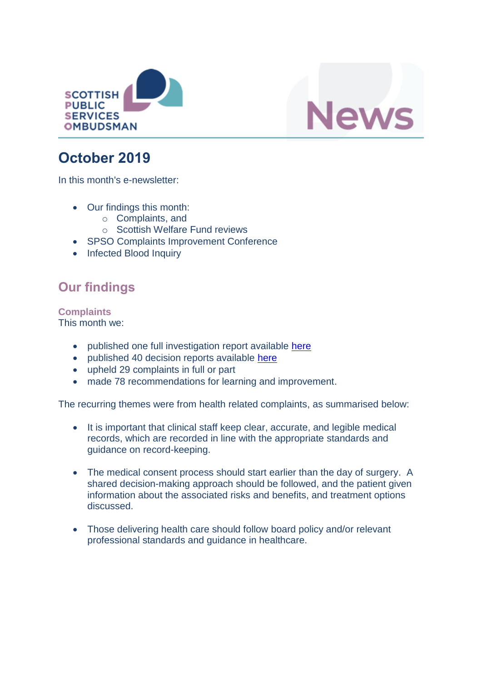



# **October 2019**

In this month's e-newsletter:

- Our findings this month:
	- o Complaints, and
	- o Scottish Welfare Fund reviews
- SPSO Complaints Improvement Conference
- Infected Blood Inquiry

## **Our findings**

**Complaints** This month we:

- published one full investigation report available [here](https://www.spso.org.uk/investigation-reports/2019/october/grampian-nhs-board)
- published 40 decision reports available [here](https://www.spso.org.uk/our-findings)
- upheld 29 complaints in full or part
- made 78 recommendations for learning and improvement.

The recurring themes were from health related complaints, as summarised below:

- It is important that clinical staff keep clear, accurate, and legible medical records, which are recorded in line with the appropriate standards and guidance on record-keeping.
- The medical consent process should start earlier than the day of surgery. A shared decision-making approach should be followed, and the patient given information about the associated risks and benefits, and treatment options discussed.
- Those delivering health care should follow board policy and/or relevant professional standards and guidance in healthcare.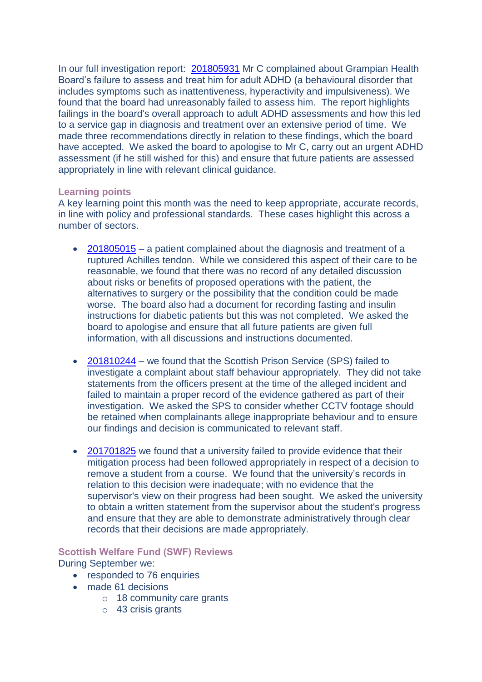In our full investigation report: [201805931](https://www.spso.org.uk/investigation-reports/2019/october/grampian-nhs-board) Mr C complained about Grampian Health Board's failure to assess and treat him for adult ADHD (a behavioural disorder that includes symptoms such as inattentiveness, hyperactivity and impulsiveness). We found that the board had unreasonably failed to assess him. The report highlights failings in the board's overall approach to adult ADHD assessments and how this led to a service gap in diagnosis and treatment over an extensive period of time. We made three recommendations directly in relation to these findings, which the board have accepted. We asked the board to apologise to Mr C, carry out an urgent ADHD assessment (if he still wished for this) and ensure that future patients are assessed appropriately in line with relevant clinical guidance.

#### **Learning points**

A key learning point this month was the need to keep appropriate, accurate records, in line with policy and professional standards. These cases highlight this across a number of sectors.

- $\bullet$  [201805015](https://www.spso.org.uk/decision-reports/2019/october/decision-report-201805015-201805015) a patient complained about the diagnosis and treatment of a ruptured Achilles tendon. While we considered this aspect of their care to be reasonable, we found that there was no record of any detailed discussion about risks or benefits of proposed operations with the patient, the alternatives to surgery or the possibility that the condition could be made worse. The board also had a document for recording fasting and insulin instructions for diabetic patients but this was not completed. We asked the board to apologise and ensure that all future patients are given full information, with all discussions and instructions documented.
- [201810244](https://www.spso.org.uk/decision-reports/2019/october/decision-report-201810244-201810244) we found that the Scottish Prison Service (SPS) failed to investigate a complaint about staff behaviour appropriately. They did not take statements from the officers present at the time of the alleged incident and failed to maintain a proper record of the evidence gathered as part of their investigation. We asked the SPS to consider whether CCTV footage should be retained when complainants allege inappropriate behaviour and to ensure our findings and decision is communicated to relevant staff.
- [201701825](https://www.spso.org.uk/decision-reports/2019/october/decision-report-201701825-201701825) we found that a university failed to provide evidence that their mitigation process had been followed appropriately in respect of a decision to remove a student from a course. We found that the university's records in relation to this decision were inadequate; with no evidence that the supervisor's view on their progress had been sought. We asked the university to obtain a written statement from the supervisor about the student's progress and ensure that they are able to demonstrate administratively through clear records that their decisions are made appropriately.

### **Scottish Welfare Fund (SWF) Reviews**

During September we:

- responded to 76 enquiries
- made 61 decisions
	- o 18 community care grants
	- o 43 crisis grants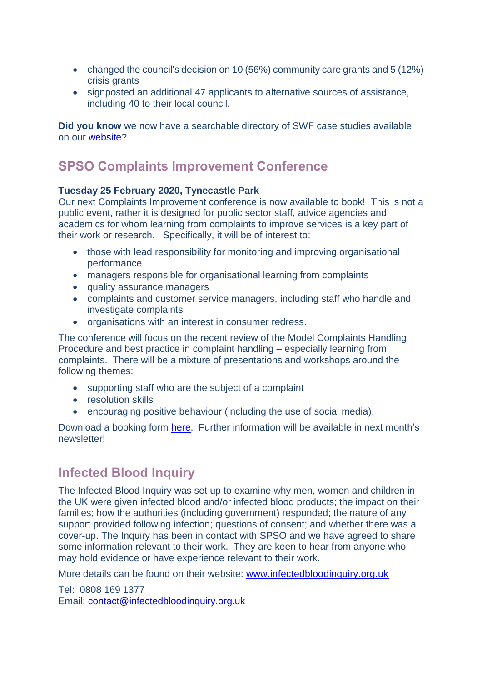- changed the council's decision on 10 (56%) community care grants and 5 (12%) crisis grants
- signposted an additional 47 applicants to alternative sources of assistance, including 40 to their local council.

**Did you know** we now have a searchable directory of SWF case studies available on our [website?](https://www.spso.org.uk/scottishwelfarefund/case-summaries)

### **SPSO Complaints Improvement Conference**

#### **Tuesday 25 February 2020, Tynecastle Park**

Our next Complaints Improvement conference is now available to book! This is not a public event, rather it is designed for public sector staff, advice agencies and academics for whom learning from complaints to improve services is a key part of their work or research. Specifically, it will be of interest to:

- those with lead responsibility for monitoring and improving organisational performance
- managers responsible for organisational learning from complaints
- quality assurance managers
- complaints and customer service managers, including staff who handle and investigate complaints
- organisations with an interest in consumer redress.

The conference will focus on the recent review of the Model Complaints Handling Procedure and best practice in complaint handling – especially learning from complaints. There will be a mixture of presentations and workshops around the following themes:

- supporting staff who are the subject of a complaint
- resolution skills
- encouraging positive behaviour (including the use of social media).

Download a booking form [here.](https://www.valuingcomplaints.org.uk/learning-and-improvement/spso-conference/spso-complaints-improvement-conference-2020) Further information will be available in next month's newsletter!

### **Infected Blood Inquiry**

The Infected Blood Inquiry was set up to examine why men, women and children in the UK were given infected blood and/or infected blood products; the impact on their families; how the authorities (including government) responded; the nature of any support provided following infection; questions of consent; and whether there was a cover-up. The Inquiry has been in contact with SPSO and we have agreed to share some information relevant to their work. They are keen to hear from anyone who may hold evidence or have experience relevant to their work.

More details can be found on their website: [www.infectedbloodinquiry.org.uk](http://www.infectedbloodinquiry.org.uk/)

Tel: 0808 169 1377 Email: [contact@infectedbloodinquiry.org.uk](mailto:contact@infectedbloodinquiry.org.uk)